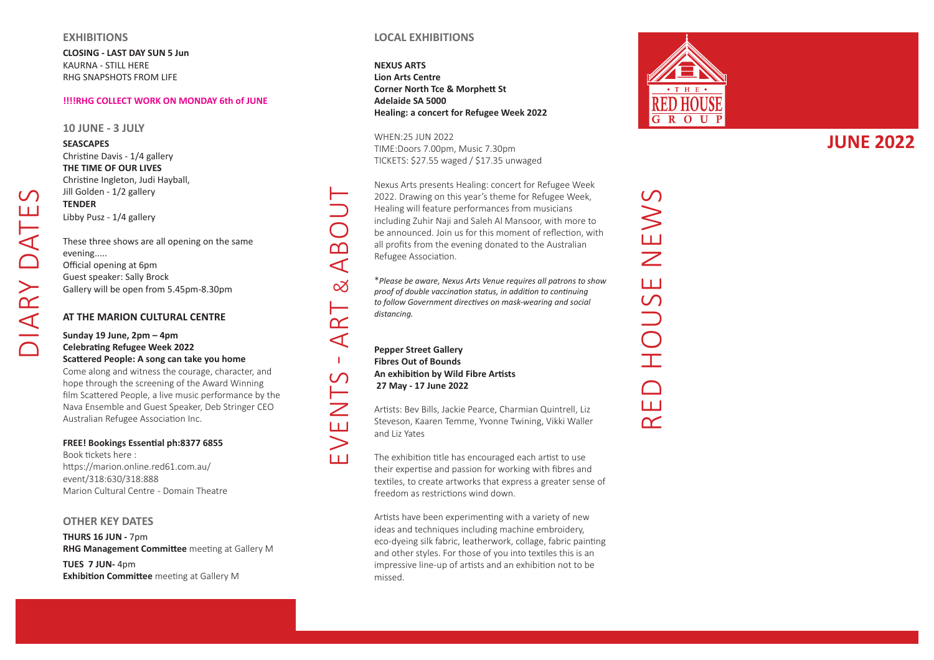#### **EXHIBITIONS**

**CLOSING - LAST DAY SUN 5 Jun** KAURNA - STILL HERE RHG SNAPSHOTS FROM LIFE

### **!!!!RHG COLLECT WORK ON MONDAY 6th of JUNE**

#### **10 JUNE - 3 JULY**

**SEASCAPES** 

## Christine Davis - 1/4 gallery **THE TIME OF OUR LIVES** Christine Ingleton, Judi Hayball, Jill Golden - 1/2 gallery **TENDER**  Libby Pusz - 1/4 gallery

These three shows are all opening on the same evening..... Official opening at 6pm Guest speaker: Sally Brock Gallery will be open from 5.45pm-8.30pm

### **AT THE MARION CULTURAL CENTRE**

### **Sunday 19 June, 2pm – 4pm Celebrating Refugee Week 2022 Scattered People: A song can take you home**

Come along and witness the courage, character, and hope through the screening of the Award Winning film Scattered People, a live music performance by the Nava Ensemble and Guest Speaker, Deb Stringer C EO Australian Refugee Association Inc.

### **FREE! Bookings Essential ph:8377 6855**

Book tickets here : https://marion.online.red61.com.au/ event/318:630/318:888 Marion Cultural Centre - Domain Theatre

### **OTHER KEY DATES**

**THURS 16 JUN -** 7pm **RHG Management Committee** meeting at Gallery M

**TUES 7 JUN-** 4pm **Exhibition Committee** meeting at Gallery M

### **LOCAL EXHIBITIONS**

**NEXUS ARTS Lion Arts Centre Corner North Tce & Morphett St Adelaide SA 5000 Healing: a concert for Refugee Week 2022**

WHEN:25 JUN 2022 TIME:Doors 7.00pm, Music 7.30pm TICKETS: \$27.55 waged / \$17.35 unwaged

Nexus Arts presents Healing: concert for Refugee Week 2022. Drawing on this year's theme for Refugee Week, Healing will feature performances from musicians including Zuhir Naji and Saleh Al Mansoor, with more to be announced. Join us for this moment of reflection, with all profits from the evening donated to the Australian Refugee Association.

\**Please be aware, Nexus Arts Venue requires all patrons to show proof of double vaccination status, in addition to continuing to follow Government directives on mask-wearing and social distancing.*

**Pepper Street Gallery Fibres Out of Bounds An exhibition by Wild Fibre Artists 27 May - 17 June 2022**

events - Art & ABOUT

Ш

 $111$ 

 $\alpha$  $\blacktriangleleft$  $\mathbf{L}$  $\overline{C}$ 

ഥ  $\blacktriangleleft$ 

 $\infty$ 

Artists: Bev Bills, Jackie Pearce, Charmian Quintrell, Liz Steveson, Kaaren Temme, Yvonne Twining, Vikki Waller and Liz Yates

The exhibition title has encouraged each artist to use their expertise and passion for working with fibres and textiles, to create artworks that express a greater sense of freedom as restrictions wind down.

Artists have been experimenting with a variety of new ideas and techniques including machine embroidery. eco-dyeing silk fabric, leatherwork, collage, fabric painting and other styles. For those of you into textiles this is an impressive line-up of artists and an exhibition not to be missed.



**JUNE 2022**

HOUSE NEWS RED HOUSE NEWS Щ  $\widetilde{\phantom{a}}$ 

 $\mathcal{C}$